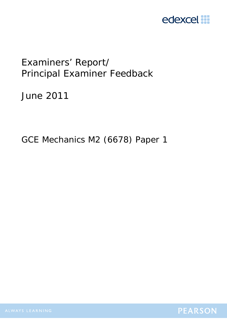

# Examiners' Report/ Principal Examiner Feedback

June 2011

GCE Mechanics M2 (6678) Paper 1

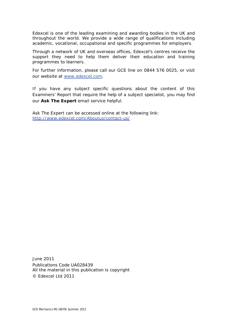Edexcel is one of the leading examining and awarding bodies in the UK and throughout the world. We provide a wide range of qualifications including academic, vocational, occupational and specific programmes for employers.

Through a network of UK and overseas offices, Edexcel's centres receive the support they need to help them deliver their education and training programmes to learners.

For further information, please call our GCE line on 0844 576 0025, or visit our website at www.edexcel.com.

If you have any subject specific questions about the content of this Examiners' Report that require the help of a subject specialist, you may find our **Ask The Expert** email service helpful.

Ask The Expert can be accessed online at the following link: http://www.edexcel.com/Aboutus/contact-us/

June 2011 Publications Code UA028439 All the material in this publication is copyright © Edexcel Ltd 2011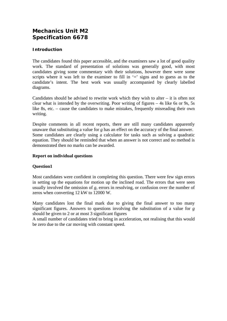# **Mechanics Unit M2 Specification 6678**

# **Introduction**

The candidates found this paper accessible, and the examiners saw a lot of good quality work. The standard of presentation of solutions was generally good, with most candidates giving some commentary with their solutions, however there were some scripts where it was left to the examiner to fill in  $\equiv$  signs and to guess as to the candidate's intent. The best work was usually accompanied by clearly labelled diagrams.

Candidates should be advised to rewrite work which they wish to alter  $-$  it is often not clear what is intended by the overwriting. Poor writing of figures – 4s like 6s or 9s, 5s like 8s, etc. – cause the candidates to make mistakes, frequently misreading their own writing.

Despite comments in all recent reports, there are still many candidates apparently unaware that substituting a value for *g* has an effect on the accuracy of the final answer. Some candidates are clearly using a calculator for tasks such as solving a quadratic equation. They should be reminded that when an answer is not correct and no method is demonstrated then no marks can be awarded.

# **Report on individual questions**

# **Question1**

Most candidates were confident in completing this question. There were few sign errors in setting up the equations for motion up the inclined road. The errors that were seen usually involved the omission of *g*, errors in resolving, or confusion over the number of zeros when converting 12 kW to 12000 W.

Many candidates lost the final mark due to giving the final answer to too many significant figures. Answers to questions involving the substitution of a value for *g* should be given to 2 or at most 3 significant figures

A small number of candidates tried to bring in acceleration, not realising that this would be zero due to the car moving with constant speed.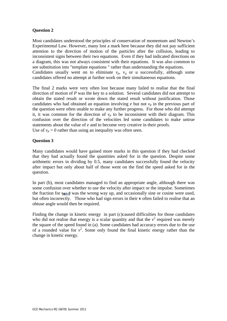Most candidates understood the principles of conservation of momentum and Newton's Experimental Law. However, many lost a mark here because they did not pay sufficient attention to the direction of motion of the particles after the collision, leading to inconsistent signs between their two equations. Even if they had indicated directions on a diagram, this was not always consistent with their equations. It was also common to see substitution into "template equations " rather than understanding the equations. Candidates usually went on to eliminate  $v_p$ ,  $v_q$  or *u* successfully, although some candidates offered no attempt at further work on their simultaneous equations.

The final 2 marks were very often lost because many failed to realise that the final direction of motion of *P* was the key to a solution. Several candidates did not attempt to obtain the stated result or wrote down the stated result without justification. Those candidates who had obtained an equation involving  $e$  but not  $v_p$  in the previous part of the question were often unable to make any further progress. For those who did attempt it, it was common for the direction of  $v_p$  to be inconsistent with their diagram. This confusion over the direction of the velocities led some candidates to make untrue statements about the value of *e* and to become very creative in their proofs. Use of  $v_p = 0$  rather than using an inequality was often seen.

#### **Question 3**

Many candidates would have gained more marks in this question if they had checked that they had actually found the quantities asked for in the question. Despite some arithmetic errors in dividing by 0.5, many candidates successfully found the velocity after impact but only about half of those went on the find the speed asked for in the question.

In part (b), most candidates managed to find an appropriate angle, although there was some confusion over whether to use the velocity after impact or the impulse. Sometimes the fraction for  $tan \theta$  was the wrong way up, and occasionally sine or cosine were used, but often incorrectly. Those who had sign errors in their **v** often failed to realise that an obtuse angle would then be required.

Finding the change in kinetic energy in part (c)caused difficulties for those candidates who did not realise that energy is a scalar quantity and that the  $v^2$  required was merely the square of the speed found in (a). Some candidates had accuracy errors due to the use of a rounded value for  $v^2$ . Some only found the final kinetic energy rather than the change in kinetic energy.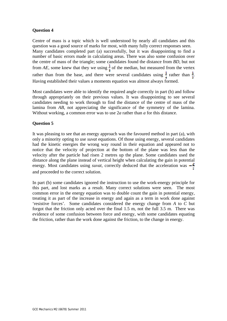Centre of mass is a topic which is well understood by nearly all candidates and this question was a good source of marks for most, with many fully correct responses seen. Many candidates completed part (a) successfully, but it was disappointing to find a number of basic errors made in calculating areas. There was also some confusion over the centre of mass of the triangle; some candidates found the distance from *BD*, but not from *AE*, some knew that they we using  $\frac{1}{8}$  of the median, but measured from the vertex rather than from the base, and there were several candidates using  $\frac{1}{4}$  rather than  $\frac{1}{8}$ . Having established their values a moments equation was almost always formed.

Most candidates were able to identify the required angle correctly in part (b) and follow through appropriately on their previous values. It was disappointing to see several candidates needing to work through to find the distance of the centre of mass of the lamina from *AB*, not appreciating the significance of the symmetry of the lamina. Without working, a common error was to use 2*a* rather than *a* for this distance.

#### **Question 5**

It was pleasing to see that an energy approach was the favoured method in part (a), with only a minority opting to use *suvat* equations. Of those using energy, several candidates had the kinetic energies the wrong way round in their equation and appeared not to notice that the velocity of projection at the bottom of the plane was less than the velocity after the particle had risen 2 metres up the plane. Some candidates used the distance along the plane instead of vertical height when calculating the gain in potential energy. Most candidates using *suvat*, correctly deduced that the acceleration was  $-\frac{g}{\epsilon}$ and proceeded to the correct solution.

In part (b) some candidates ignored the instruction to use the work-energy principle for this part, and lost marks as a result. Many correct solutions were seen. The most common error in the energy equation was to double count the gain in potential energy, treating it as part of the increase in energy and again as a term in work done against 'resistive forces'. Some candidates considered the energy change from *A* to *C* but forgot that the friction only acted over the final 1.5 m, not the full 3.5 m. There was evidence of some confusion between force and energy, with some candidates equating the friction, rather than the work done against the friction, to the change in energy.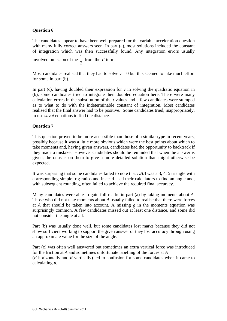The candidates appear to have been well prepared for the variable acceleration question with many fully correct answers seen. In part (a), most solutions included the constant of integration which was then successfully found. Any integration errors usually involved omission of the  $\frac{1}{2}$ 2 from the  $t^2$  term.

Most candidates realised that they had to solve  $v = 0$  but this seemed to take much effort for some in part (b).

In part (c), having doubled their expression for  $\nu$  in solving the quadratic equation in (b), some candidates tried to integrate their doubled equation here. There were many calculation errors in the substitution of the *t* values and a few candidates were stumped as to what to do with the indeterminable constant of integration. Most candidates realised that the final answer had to be positive. Some candidates tried, inappropriately, to use *suvat* equations to find the distance.

#### **Question 7**

This question proved to be more accessible than those of a similar type in recent years, possibly because it was a little more obvious which were the best points about which to take moments and, having given answers, candidates had the opportunity to backtrack if they made a mistake. However candidates should be reminded that when the answer is given, the onus is on them to give a more detailed solution than might otherwise be expected.

It was surprising that some candidates failed to note that *DAB* was a 3, 4, 5 triangle with corresponding simple trig ratios and instead used their calculators to find an angle and, with subsequent rounding, often failed to achieve the required final accuracy.

Many candidates were able to gain full marks in part (a) by taking moments about *A*. Those who did not take moments about *A* usually failed to realise that there were forces at *A* that should be taken into account. A missing *g* in the moments equation was surprisingly common. A few candidates missed out at least one distance, and some did not consider the angle at all.

Part (b) was usually done well, but some candidates lost marks because they did not show sufficient working to support the given answer or they lost accuracy through using an approximate value for the size of the angle.

Part (c) was often well answered but sometimes an extra vertical force was introduced for the friction at *A* and sometimes unfortunate labelling of the forces at *A* (*F* horizontally and *R* vertically) led to confusion for some candidates when it came to calculating *µ*.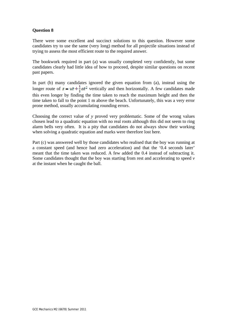There were some excellent and succinct solutions to this question. However some candidates try to use the same (very long) method for all projectile situations instead of trying to assess the most efficient route to the required answer.

The bookwork required in part (a) was usually completed very confidently, but some candidates clearly had little idea of how to proceed, despite similar questions on recent past papers.

In part (b) many candidates ignored the given equation from (a), instead using the longer route of  $s = ut + \frac{1}{2}at^2$  vertically and then horizontally. A few candidates made this even longer by finding the time taken to reach the maximum height and then the time taken to fall to the point 1 m above the beach. Unfortunately, this was a very error prone method, usually accumulating rounding errors.

Choosing the correct value of *y* proved very problematic. Some of the wrong values chosen lead to a quadratic equation with no real roots although this did not seem to ring alarm bells very often. It is a pity that candidates do not always show their working when solving a quadratic equation and marks were therefore lost here.

Part (c) was answered well by those candidates who realised that the boy was running at a constant speed (and hence had zero acceleration) and that the '0.4 seconds later' meant that the time taken was reduced. A few added the 0.4 instead of subtracting it. Some candidates thought that the boy was starting from rest and accelerating to speed *v* at the instant when he caught the ball.